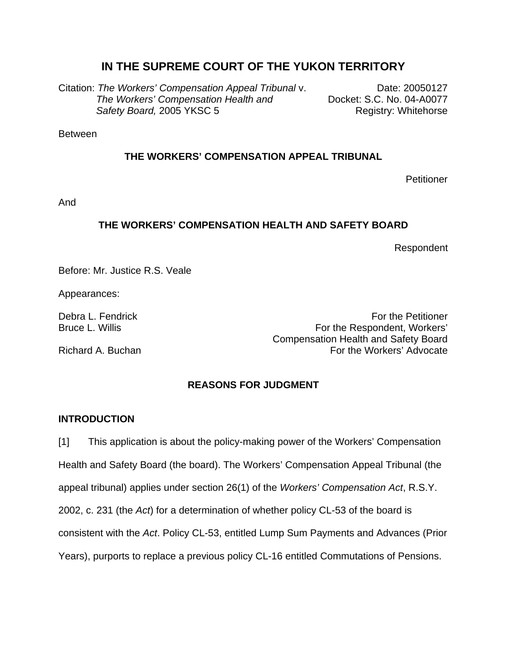# **IN THE SUPREME COURT OF THE YUKON TERRITORY**

Citation: *The Workers' Compensation Appeal Tribunal* v.Date: 20050127 *The Workers' Compensation Health and* **Docket: S.C. No. 04-A0077 Safety Board, 2005 YKSC 5** And The Registry: Whitehorse

Between

# **THE WORKERS' COMPENSATION APPEAL TRIBUNAL**

**Petitioner** 

And

## **THE WORKERS' COMPENSATION HEALTH AND SAFETY BOARD**

Respondent

Before: Mr. Justice R.S. Veale

Appearances:

Debra L. Fendrick For the Petitioner Control of the Petitioner Control of the Petitioner Control of the Petitioner Bruce L. Willis **For the Respondent, Workers'** Compensation Health and Safety Board Richard A. Buchan For the Workers' Advocate

# **REASONS FOR JUDGMENT**

### **INTRODUCTION**

[1] This application is about the policy-making power of the Workers' Compensation Health and Safety Board (the board). The Workers' Compensation Appeal Tribunal (the appeal tribunal) applies under section 26(1) of the *Workers' Compensation Act*, R.S.Y. 2002, c. 231 (the *Act*) for a determination of whether policy CL-53 of the board is consistent with the *Act*. Policy CL-53, entitled Lump Sum Payments and Advances (Prior Years), purports to replace a previous policy CL-16 entitled Commutations of Pensions.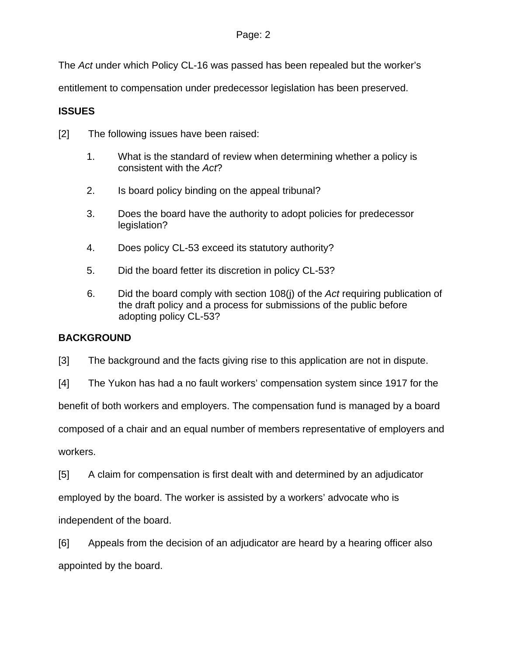The *Act* under which Policy CL-16 was passed has been repealed but the worker's

entitlement to compensation under predecessor legislation has been preserved.

# **ISSUES**

- [2] The following issues have been raised:
	- 1. What is the standard of review when determining whether a policy is consistent with the *Act*?
	- 2. Is board policy binding on the appeal tribunal?
	- 3. Does the board have the authority to adopt policies for predecessor legislation?
	- 4. Does policy CL-53 exceed its statutory authority?
	- 5. Did the board fetter its discretion in policy CL-53?
	- 6. Did the board comply with section 108(j) of the *Act* requiring publication of the draft policy and a process for submissions of the public before adopting policy CL-53?

# **BACKGROUND**

[3] The background and the facts giving rise to this application are not in dispute.

[4] The Yukon has had a no fault workers' compensation system since 1917 for the

benefit of both workers and employers. The compensation fund is managed by a board

composed of a chair and an equal number of members representative of employers and

workers.

[5] A claim for compensation is first dealt with and determined by an adjudicator

employed by the board. The worker is assisted by a workers' advocate who is

independent of the board.

[6] Appeals from the decision of an adjudicator are heard by a hearing officer also appointed by the board.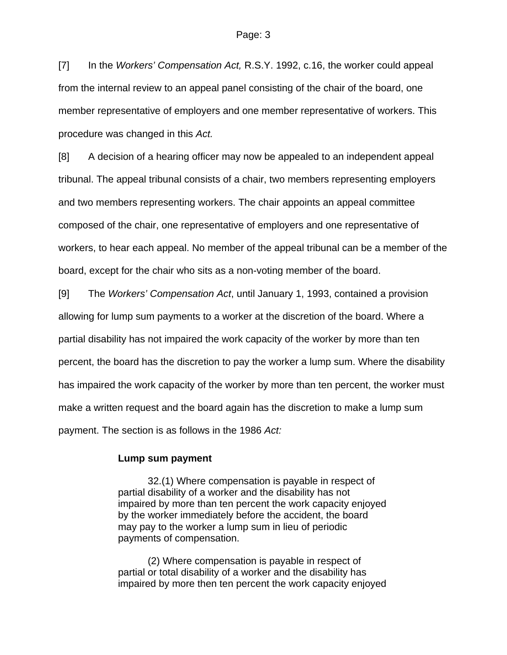[7] In the *Workers' Compensation Act,* R.S.Y. 1992, c.16, the worker could appeal from the internal review to an appeal panel consisting of the chair of the board, one member representative of employers and one member representative of workers. This procedure was changed in this *Act.*

[8] A decision of a hearing officer may now be appealed to an independent appeal tribunal. The appeal tribunal consists of a chair, two members representing employers and two members representing workers. The chair appoints an appeal committee composed of the chair, one representative of employers and one representative of workers, to hear each appeal. No member of the appeal tribunal can be a member of the board, except for the chair who sits as a non-voting member of the board.

[9] The *Workers' Compensation Act*, until January 1, 1993, contained a provision allowing for lump sum payments to a worker at the discretion of the board. Where a partial disability has not impaired the work capacity of the worker by more than ten percent, the board has the discretion to pay the worker a lump sum. Where the disability has impaired the work capacity of the worker by more than ten percent, the worker must make a written request and the board again has the discretion to make a lump sum payment. The section is as follows in the 1986 *Act:* 

#### **Lump sum payment**

 32.(1) Where compensation is payable in respect of partial disability of a worker and the disability has not impaired by more than ten percent the work capacity enjoyed by the worker immediately before the accident, the board may pay to the worker a lump sum in lieu of periodic payments of compensation.

(2) Where compensation is payable in respect of partial or total disability of a worker and the disability has impaired by more then ten percent the work capacity enjoyed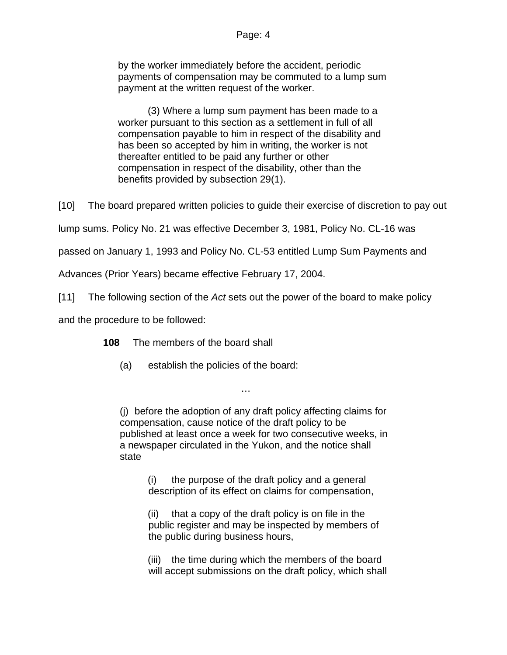by the worker immediately before the accident, periodic payments of compensation may be commuted to a lump sum payment at the written request of the worker.

 (3) Where a lump sum payment has been made to a worker pursuant to this section as a settlement in full of all compensation payable to him in respect of the disability and has been so accepted by him in writing, the worker is not thereafter entitled to be paid any further or other compensation in respect of the disability, other than the benefits provided by subsection 29(1).

[10] The board prepared written policies to guide their exercise of discretion to pay out

lump sums. Policy No. 21 was effective December 3, 1981, Policy No. CL-16 was

passed on January 1, 1993 and Policy No. CL-53 entitled Lump Sum Payments and

Advances (Prior Years) became effective February 17, 2004.

[11] The following section of the *Act* sets out the power of the board to make policy

and the procedure to be followed:

**108** The members of the board shall

(a) establish the policies of the board:

(j) before the adoption of any draft policy affecting claims for compensation, cause notice of the draft policy to be published at least once a week for two consecutive weeks, in a newspaper circulated in the Yukon, and the notice shall state

…

(i) the purpose of the draft policy and a general description of its effect on claims for compensation,

(ii) that a copy of the draft policy is on file in the public register and may be inspected by members of the public during business hours,

(iii) the time during which the members of the board will accept submissions on the draft policy, which shall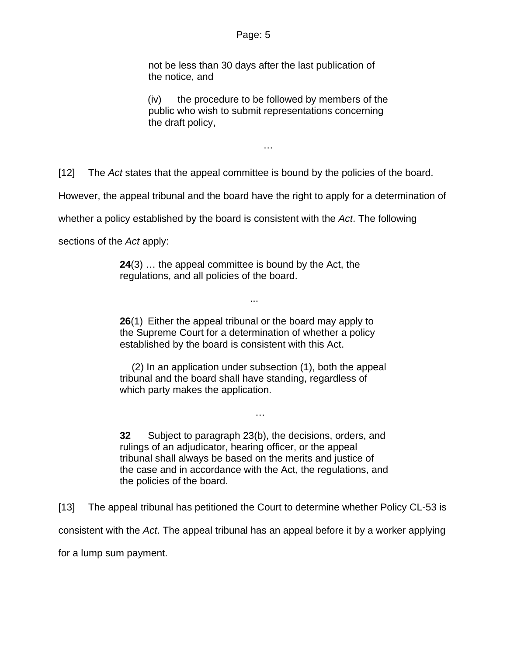not be less than 30 days after the last publication of the notice, and

(iv) the procedure to be followed by members of the public who wish to submit representations concerning the draft policy,

…

[12] The *Act* states that the appeal committee is bound by the policies of the board.

However, the appeal tribunal and the board have the right to apply for a determination of

whether a policy established by the board is consistent with the *Act*. The following

sections of the *Act* apply:

**24**(3) … the appeal committee is bound by the Act, the regulations, and all policies of the board.

**26**(1) Either the appeal tribunal or the board may apply to the Supreme Court for a determination of whether a policy established by the board is consistent with this Act.

...

(2) In an application under subsection (1), both the appeal tribunal and the board shall have standing, regardless of which party makes the application.

…

**32** Subject to paragraph 23(b), the decisions, orders, and rulings of an adjudicator, hearing officer, or the appeal tribunal shall always be based on the merits and justice of the case and in accordance with the Act, the regulations, and the policies of the board.

[13] The appeal tribunal has petitioned the Court to determine whether Policy CL-53 is consistent with the *Act*. The appeal tribunal has an appeal before it by a worker applying

for a lump sum payment.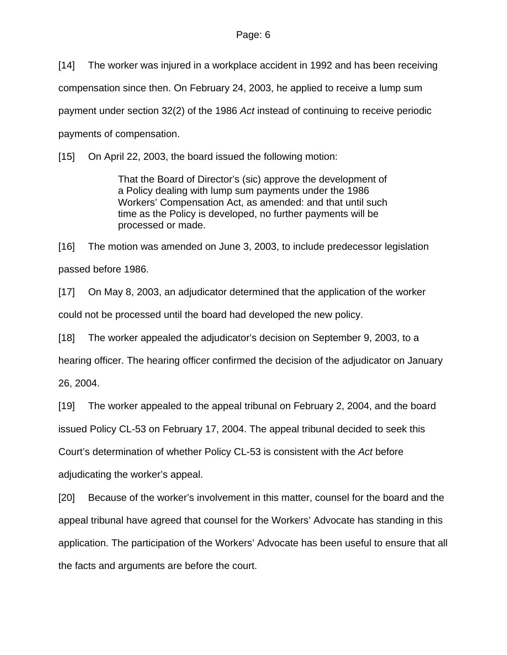[14] The worker was injured in a workplace accident in 1992 and has been receiving compensation since then. On February 24, 2003, he applied to receive a lump sum payment under section 32(2) of the 1986 *Act* instead of continuing to receive periodic payments of compensation.

[15] On April 22, 2003, the board issued the following motion:

That the Board of Director's (sic) approve the development of a Policy dealing with lump sum payments under the 1986 Workers' Compensation Act, as amended: and that until such time as the Policy is developed, no further payments will be processed or made.

[16] The motion was amended on June 3, 2003, to include predecessor legislation passed before 1986.

[17] On May 8, 2003, an adjudicator determined that the application of the worker could not be processed until the board had developed the new policy.

[18] The worker appealed the adjudicator's decision on September 9, 2003, to a

hearing officer. The hearing officer confirmed the decision of the adjudicator on January

26, 2004.

[19] The worker appealed to the appeal tribunal on February 2, 2004, and the board

issued Policy CL-53 on February 17, 2004. The appeal tribunal decided to seek this

Court's determination of whether Policy CL-53 is consistent with the *Act* before

adjudicating the worker's appeal.

[20] Because of the worker's involvement in this matter, counsel for the board and the appeal tribunal have agreed that counsel for the Workers' Advocate has standing in this application. The participation of the Workers' Advocate has been useful to ensure that all the facts and arguments are before the court.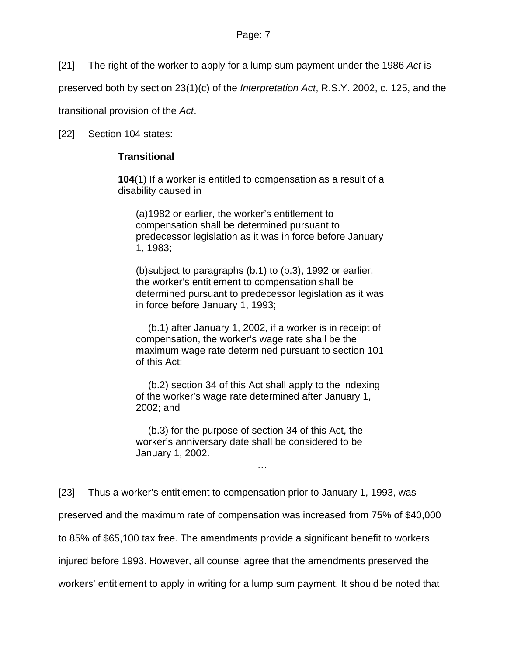[21] The right of the worker to apply for a lump sum payment under the 1986 *Act* is

preserved both by section 23(1)(c) of the *Interpretation Act*, R.S.Y. 2002, c. 125, and the

transitional provision of the *Act*.

[22] Section 104 states:

# **Transitional**

**104**(1) If a worker is entitled to compensation as a result of a disability caused in

(a) 1982 or earlier, the worker's entitlement to compensation shall be determined pursuant to predecessor legislation as it was in force before January 1, 1983;

(b) subject to paragraphs (b.1) to (b.3), 1992 or earlier, the worker's entitlement to compensation shall be determined pursuant to predecessor legislation as it was in force before January 1, 1993;

 (b.1) after January 1, 2002, if a worker is in receipt of compensation, the worker's wage rate shall be the maximum wage rate determined pursuant to section 101 of this Act;

 (b.2) section 34 of this Act shall apply to the indexing of the worker's wage rate determined after January 1, 2002; and

 (b.3) for the purpose of section 34 of this Act, the worker's anniversary date shall be considered to be January 1, 2002.

…

[23] Thus a worker's entitlement to compensation prior to January 1, 1993, was preserved and the maximum rate of compensation was increased from 75% of \$40,000 to 85% of \$65,100 tax free. The amendments provide a significant benefit to workers injured before 1993. However, all counsel agree that the amendments preserved the workers' entitlement to apply in writing for a lump sum payment. It should be noted that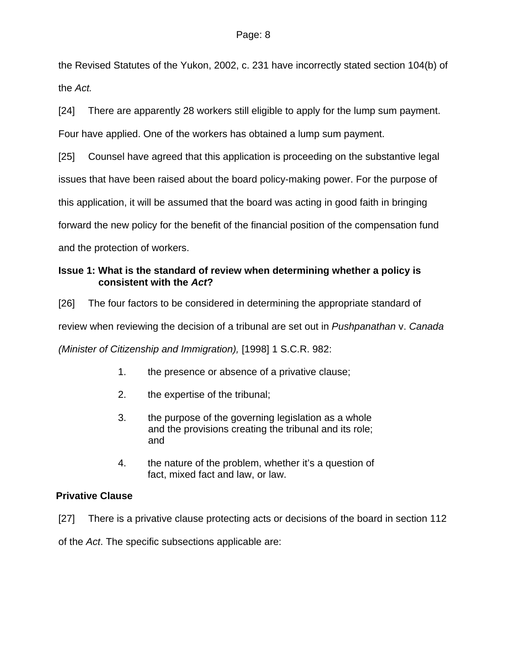the Revised Statutes of the Yukon, 2002, c. 231 have incorrectly stated section 104(b) of the *Act.*

[24] There are apparently 28 workers still eligible to apply for the lump sum payment.

Four have applied. One of the workers has obtained a lump sum payment.

[25] Counsel have agreed that this application is proceeding on the substantive legal

issues that have been raised about the board policy-making power. For the purpose of

this application, it will be assumed that the board was acting in good faith in bringing

forward the new policy for the benefit of the financial position of the compensation fund

and the protection of workers.

# **Issue 1: What is the standard of review when determining whether a policy is consistent with the** *Act***?**

[26] The four factors to be considered in determining the appropriate standard of review when reviewing the decision of a tribunal are set out in *Pushpanathan* v. *Canada (Minister of Citizenship and Immigration),* [1998] 1 S.C.R. 982:

- 1. the presence or absence of a privative clause;
- 2. the expertise of the tribunal;
- 3. the purpose of the governing legislation as a whole and the provisions creating the tribunal and its role; and
- 4. the nature of the problem, whether it's a question of fact, mixed fact and law, or law.

# **Privative Clause**

[27] There is a privative clause protecting acts or decisions of the board in section 112

of the *Act*. The specific subsections applicable are: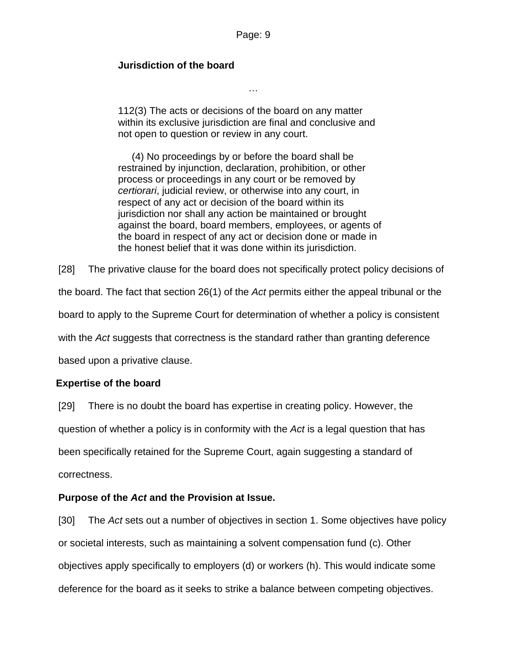## **Jurisdiction of the board**

112(3) The acts or decisions of the board on any matter within its exclusive jurisdiction are final and conclusive and not open to question or review in any court.

…

 (4) No proceedings by or before the board shall be restrained by injunction, declaration, prohibition, or other process or proceedings in any court or be removed by *certiorari*, judicial review, or otherwise into any court, in respect of any act or decision of the board within its jurisdiction nor shall any action be maintained or brought against the board, board members, employees, or agents of the board in respect of any act or decision done or made in the honest belief that it was done within its jurisdiction.

[28] The privative clause for the board does not specifically protect policy decisions of the board. The fact that section 26(1) of the *Act* permits either the appeal tribunal or the board to apply to the Supreme Court for determination of whether a policy is consistent with the *Act* suggests that correctness is the standard rather than granting deference based upon a privative clause.

# **Expertise of the board**

[29] There is no doubt the board has expertise in creating policy. However, the question of whether a policy is in conformity with the *Act* is a legal question that has been specifically retained for the Supreme Court, again suggesting a standard of correctness.

### **Purpose of the** *Act* **and the Provision at Issue.**

[30] The *Act* sets out a number of objectives in section 1. Some objectives have policy or societal interests, such as maintaining a solvent compensation fund (c). Other objectives apply specifically to employers (d) or workers (h). This would indicate some deference for the board as it seeks to strike a balance between competing objectives.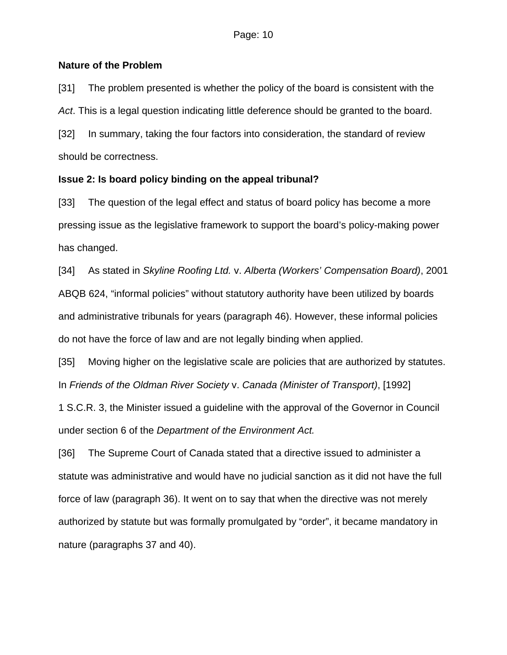## **Nature of the Problem**

[31] The problem presented is whether the policy of the board is consistent with the *Act*. This is a legal question indicating little deference should be granted to the board. [32] In summary, taking the four factors into consideration, the standard of review should be correctness.

# **Issue 2: Is board policy binding on the appeal tribunal?**

[33] The question of the legal effect and status of board policy has become a more pressing issue as the legislative framework to support the board's policy-making power has changed.

[34] As stated in *Skyline Roofing Ltd.* v. *Alberta (Workers' Compensation Board)*, 2001 ABQB 624, "informal policies" without statutory authority have been utilized by boards and administrative tribunals for years (paragraph 46). However, these informal policies do not have the force of law and are not legally binding when applied.

[35] Moving higher on the legislative scale are policies that are authorized by statutes. In *Friends of the Oldman River Society* v. *Canada (Minister of Transport)*, [1992]

1 S.C.R. 3, the Minister issued a guideline with the approval of the Governor in Council under section 6 of the *Department of the Environment Act.*

[36] The Supreme Court of Canada stated that a directive issued to administer a statute was administrative and would have no judicial sanction as it did not have the full force of law (paragraph 36). It went on to say that when the directive was not merely authorized by statute but was formally promulgated by "order", it became mandatory in nature (paragraphs 37 and 40).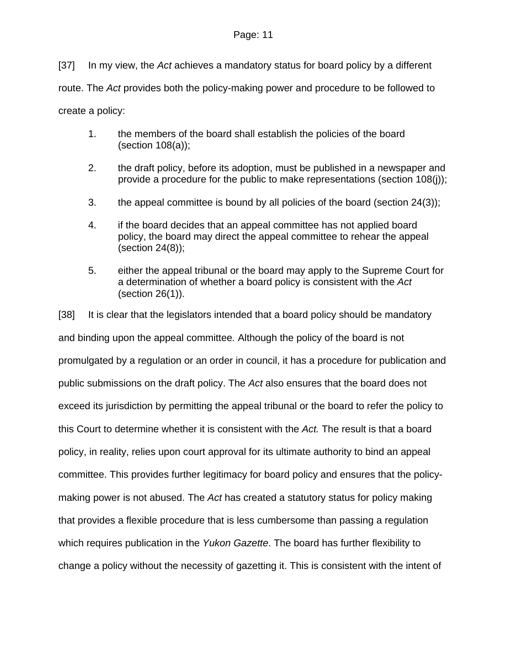[37] In my view, the *Act* achieves a mandatory status for board policy by a different route. The *Act* provides both the policy-making power and procedure to be followed to create a policy:

- 1. the members of the board shall establish the policies of the board (section 108(a));
- 2. the draft policy, before its adoption, must be published in a newspaper and provide a procedure for the public to make representations (section 108(j));
- 3. the appeal committee is bound by all policies of the board (section 24(3));
- 4. if the board decides that an appeal committee has not applied board policy, the board may direct the appeal committee to rehear the appeal (section 24(8));
- 5. either the appeal tribunal or the board may apply to the Supreme Court for a determination of whether a board policy is consistent with the *Act* (section 26(1)).

[38] It is clear that the legislators intended that a board policy should be mandatory and binding upon the appeal committee*.* Although the policy of the board is not promulgated by a regulation or an order in council, it has a procedure for publication and public submissions on the draft policy. The *Act* also ensures that the board does not exceed its jurisdiction by permitting the appeal tribunal or the board to refer the policy to this Court to determine whether it is consistent with the *Act.* The result is that a board policy, in reality, relies upon court approval for its ultimate authority to bind an appeal committee. This provides further legitimacy for board policy and ensures that the policymaking power is not abused. The *Act* has created a statutory status for policy making that provides a flexible procedure that is less cumbersome than passing a regulation which requires publication in the *Yukon Gazette*. The board has further flexibility to change a policy without the necessity of gazetting it. This is consistent with the intent of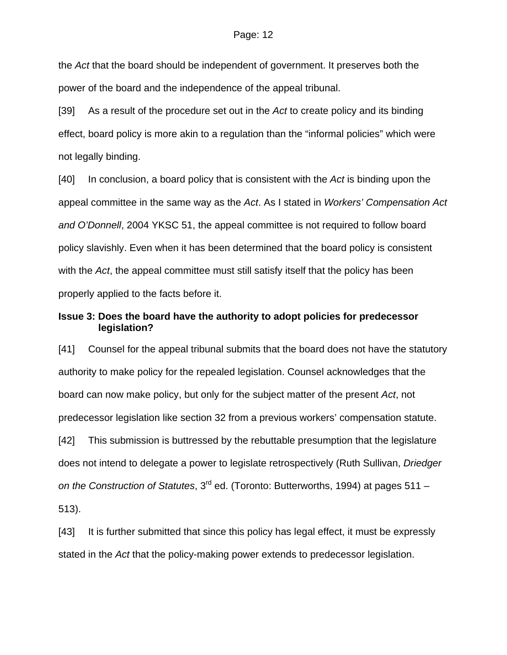the *Act* that the board should be independent of government. It preserves both the power of the board and the independence of the appeal tribunal.

[39] As a result of the procedure set out in the *Act* to create policy and its binding effect, board policy is more akin to a regulation than the "informal policies" which were not legally binding.

[40] In conclusion, a board policy that is consistent with the *Act* is binding upon the appeal committee in the same way as the *Act*. As I stated in *Workers' Compensation Act and O'Donnell*, 2004 YKSC 51, the appeal committee is not required to follow board policy slavishly. Even when it has been determined that the board policy is consistent with the *Act*, the appeal committee must still satisfy itself that the policy has been properly applied to the facts before it.

## **Issue 3: Does the board have the authority to adopt policies for predecessor legislation?**

[41] Counsel for the appeal tribunal submits that the board does not have the statutory authority to make policy for the repealed legislation. Counsel acknowledges that the board can now make policy, but only for the subject matter of the present *Act*, not predecessor legislation like section 32 from a previous workers' compensation statute.

[42] This submission is buttressed by the rebuttable presumption that the legislature does not intend to delegate a power to legislate retrospectively (Ruth Sullivan, *Driedger on the Construction of Statutes*, 3rd ed. (Toronto: Butterworths, 1994) at pages 511 – 513).

[43] It is further submitted that since this policy has legal effect, it must be expressly stated in the *Act* that the policy-making power extends to predecessor legislation.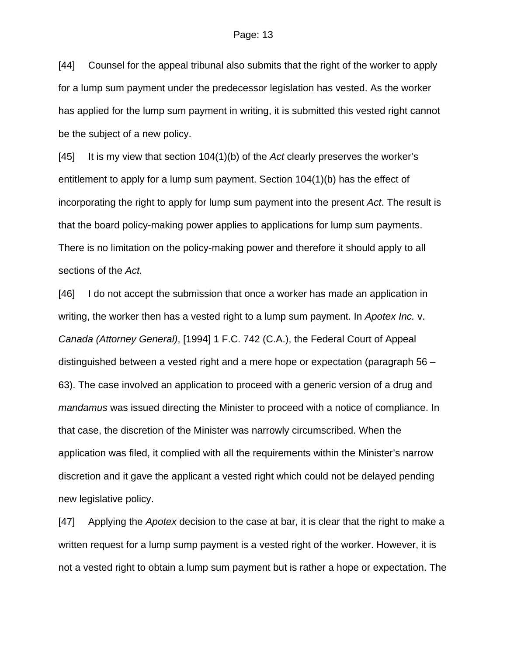[44] Counsel for the appeal tribunal also submits that the right of the worker to apply for a lump sum payment under the predecessor legislation has vested. As the worker has applied for the lump sum payment in writing, it is submitted this vested right cannot be the subject of a new policy.

[45] It is my view that section 104(1)(b) of the *Act* clearly preserves the worker's entitlement to apply for a lump sum payment. Section 104(1)(b) has the effect of incorporating the right to apply for lump sum payment into the present *Act*. The result is that the board policy-making power applies to applications for lump sum payments. There is no limitation on the policy-making power and therefore it should apply to all sections of the *Act.*

[46] I do not accept the submission that once a worker has made an application in writing, the worker then has a vested right to a lump sum payment. In *Apotex Inc.* v. *Canada (Attorney General)*, [1994] 1 F.C. 742 (C.A.), the Federal Court of Appeal distinguished between a vested right and a mere hope or expectation (paragraph 56 – 63). The case involved an application to proceed with a generic version of a drug and *mandamus* was issued directing the Minister to proceed with a notice of compliance. In that case, the discretion of the Minister was narrowly circumscribed. When the application was filed, it complied with all the requirements within the Minister's narrow discretion and it gave the applicant a vested right which could not be delayed pending new legislative policy.

[47] Applying the *Apotex* decision to the case at bar, it is clear that the right to make a written request for a lump sump payment is a vested right of the worker. However, it is not a vested right to obtain a lump sum payment but is rather a hope or expectation. The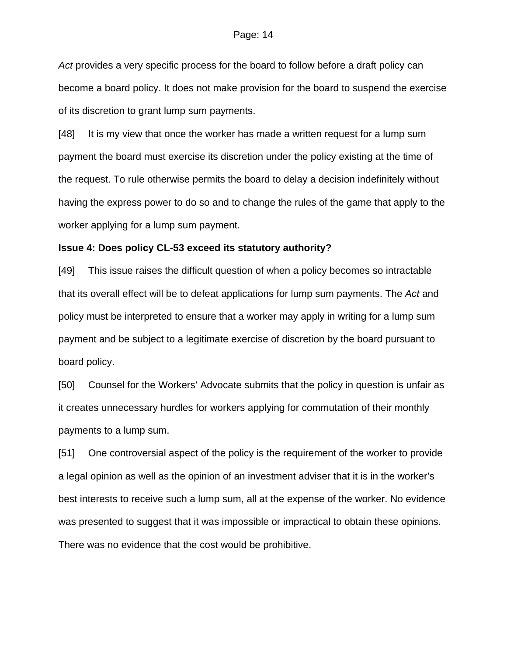*Act* provides a very specific process for the board to follow before a draft policy can become a board policy. It does not make provision for the board to suspend the exercise of its discretion to grant lump sum payments.

[48] It is my view that once the worker has made a written request for a lump sum payment the board must exercise its discretion under the policy existing at the time of the request. To rule otherwise permits the board to delay a decision indefinitely without having the express power to do so and to change the rules of the game that apply to the worker applying for a lump sum payment.

#### **Issue 4: Does policy CL-53 exceed its statutory authority?**

[49] This issue raises the difficult question of when a policy becomes so intractable that its overall effect will be to defeat applications for lump sum payments. The *Act* and policy must be interpreted to ensure that a worker may apply in writing for a lump sum payment and be subject to a legitimate exercise of discretion by the board pursuant to board policy.

[50] Counsel for the Workers' Advocate submits that the policy in question is unfair as it creates unnecessary hurdles for workers applying for commutation of their monthly payments to a lump sum.

[51] One controversial aspect of the policy is the requirement of the worker to provide a legal opinion as well as the opinion of an investment adviser that it is in the worker's best interests to receive such a lump sum, all at the expense of the worker. No evidence was presented to suggest that it was impossible or impractical to obtain these opinions. There was no evidence that the cost would be prohibitive.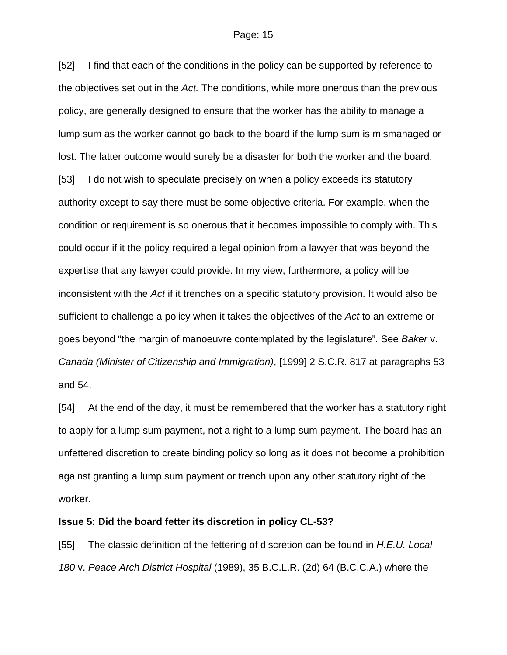[52] I find that each of the conditions in the policy can be supported by reference to the objectives set out in the *Act.* The conditions, while more onerous than the previous policy, are generally designed to ensure that the worker has the ability to manage a lump sum as the worker cannot go back to the board if the lump sum is mismanaged or lost. The latter outcome would surely be a disaster for both the worker and the board. [53] I do not wish to speculate precisely on when a policy exceeds its statutory authority except to say there must be some objective criteria. For example, when the condition or requirement is so onerous that it becomes impossible to comply with. This could occur if it the policy required a legal opinion from a lawyer that was beyond the expertise that any lawyer could provide. In my view, furthermore, a policy will be inconsistent with the *Act* if it trenches on a specific statutory provision. It would also be sufficient to challenge a policy when it takes the objectives of the *Act* to an extreme or goes beyond "the margin of manoeuvre contemplated by the legislature". See *Baker* v. *Canada (Minister of Citizenship and Immigration)*, [1999] 2 S.C.R. 817 at paragraphs 53 and 54.

[54] At the end of the day, it must be remembered that the worker has a statutory right to apply for a lump sum payment, not a right to a lump sum payment. The board has an unfettered discretion to create binding policy so long as it does not become a prohibition against granting a lump sum payment or trench upon any other statutory right of the worker.

### **Issue 5: Did the board fetter its discretion in policy CL-53?**

[55] The classic definition of the fettering of discretion can be found in *H.E.U. Local 180* v. *Peace Arch District Hospital* (1989), 35 B.C.L.R. (2d) 64 (B.C.C.A.) where the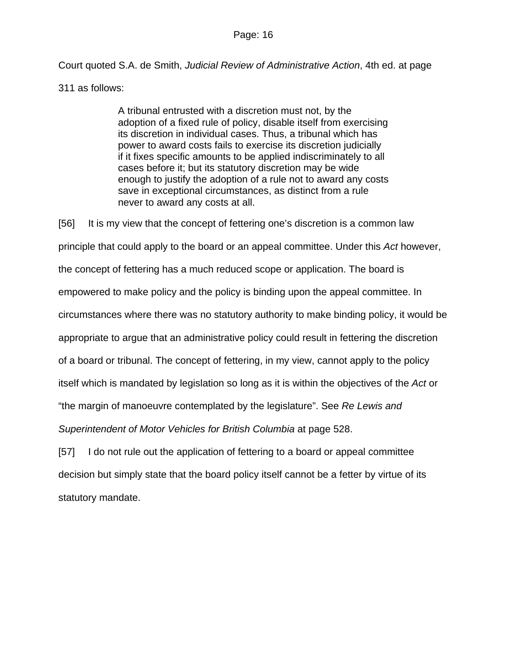Court quoted S.A. de Smith, *Judicial Review of Administrative Action*, 4th ed. at page

311 as follows:

A tribunal entrusted with a discretion must not, by the adoption of a fixed rule of policy, disable itself from exercising its discretion in individual cases. Thus, a tribunal which has power to award costs fails to exercise its discretion judicially if it fixes specific amounts to be applied indiscriminately to all cases before it; but its statutory discretion may be wide enough to justify the adoption of a rule not to award any costs save in exceptional circumstances, as distinct from a rule never to award any costs at all.

[56] It is my view that the concept of fettering one's discretion is a common law principle that could apply to the board or an appeal committee. Under this *Act* however,

the concept of fettering has a much reduced scope or application. The board is

empowered to make policy and the policy is binding upon the appeal committee. In

circumstances where there was no statutory authority to make binding policy, it would be

appropriate to argue that an administrative policy could result in fettering the discretion

of a board or tribunal. The concept of fettering, in my view, cannot apply to the policy

itself which is mandated by legislation so long as it is within the objectives of the *Act* or

"the margin of manoeuvre contemplated by the legislature". See *Re Lewis and* 

*Superintendent of Motor Vehicles for British Columbia* at page 528.

[57] I do not rule out the application of fettering to a board or appeal committee decision but simply state that the board policy itself cannot be a fetter by virtue of its statutory mandate.